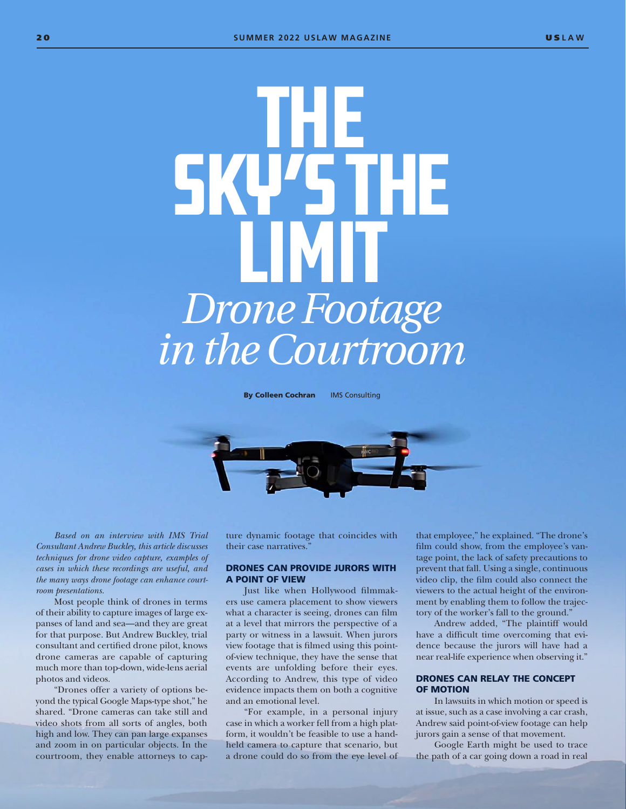# The Sky's the LIMIT *Drone Footage in the Courtroom*

**By Colleen Cochran** IMS Consulting



*Based on an interview with IMS Trial Consultant Andrew Buckley, this article discusses techniques for drone video capture, examples of cases in which these recordings are useful, and the many ways drone footage can enhance courtroom presentations.*

Most people think of drones in terms of their ability to capture images of large expanses of land and sea—and they are great for that purpose. But Andrew Buckley, trial consultant and certified drone pilot, knows drone cameras are capable of capturing much more than top-down, wide-lens aerial photos and videos.

"Drones offer a variety of options beyond the typical Google Maps-type shot," he shared. "Drone cameras can take still and video shots from all sorts of angles, both high and low. They can pan large expanses and zoom in on particular objects. In the courtroom, they enable attorneys to capture dynamic footage that coincides with their case narratives."

# DRONES CAN PROVIDE JURORS WITH A POINT OF VIEW

Just like when Hollywood filmmakers use camera placement to show viewers what a character is seeing, drones can film at a level that mirrors the perspective of a party or witness in a lawsuit. When jurors view footage that is filmed using this pointof-view technique, they have the sense that events are unfolding before their eyes. According to Andrew, this type of video evidence impacts them on both a cognitive and an emotional level.

"For example, in a personal injury case in which a worker fell from a high platform, it wouldn't be feasible to use a handheld camera to capture that scenario, but a drone could do so from the eye level of

that employee," he explained. "The drone's film could show, from the employee's vantage point, the lack of safety precautions to prevent that fall. Using a single, continuous video clip, the film could also connect the viewers to the actual height of the environment by enabling them to follow the trajectory of the worker's fall to the ground."

Andrew added, "The plaintiff would have a difficult time overcoming that evidence because the jurors will have had a near real-life experience when observing it."

### DRONES CAN RELAY THE CONCEPT OF MOTION

In lawsuits in which motion or speed is at issue, such as a case involving a car crash, Andrew said point-of-view footage can help jurors gain a sense of that movement.

Google Earth might be used to trace the path of a car going down a road in real